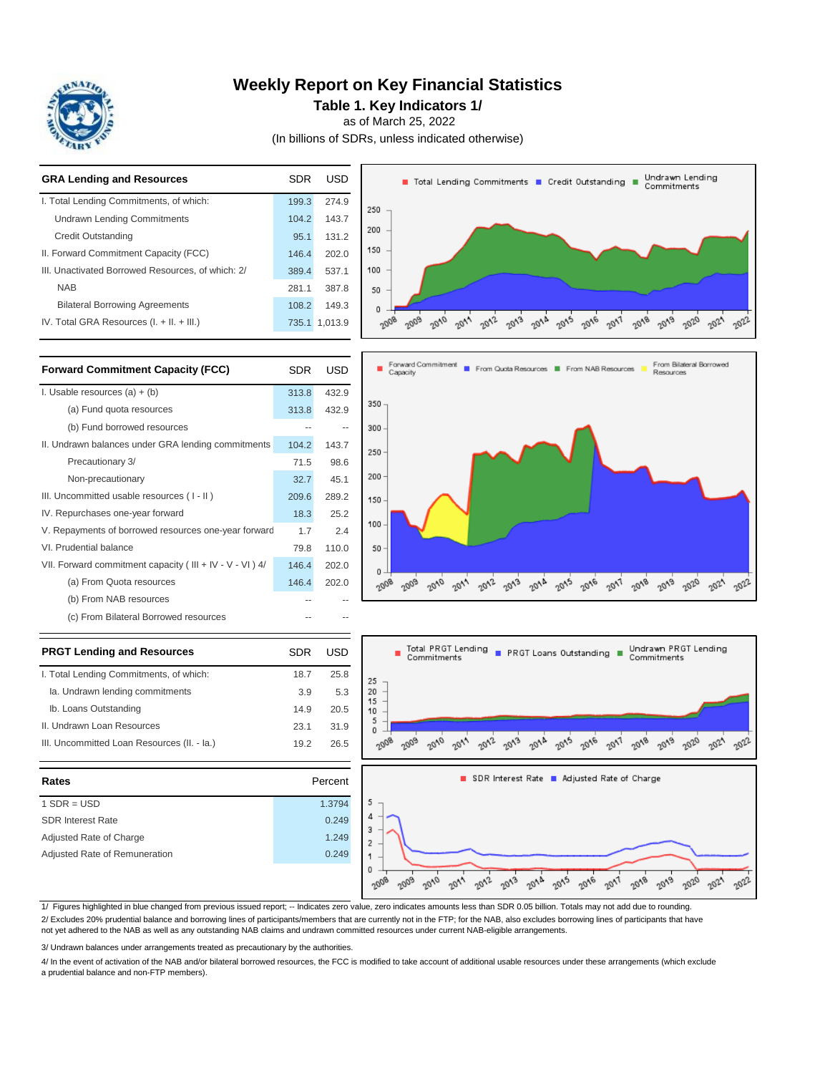

### **Weekly Report on Key Financial Statistics**

**Table 1. Key Indicators 1/**

as of March 25, 2022

(In billions of SDRs, unless indicated otherwise)

| <b>GRA Lending and Resources</b>                  | <b>SDR</b> | <b>USD</b>    | Undrawn Lending<br>Total Lending Commitments T Credit Outstanding T<br>Commitments                                                                        |
|---------------------------------------------------|------------|---------------|-----------------------------------------------------------------------------------------------------------------------------------------------------------|
| I. Total Lending Commitments, of which:           | 199.3      | 274.9         | 250                                                                                                                                                       |
| <b>Undrawn Lending Commitments</b>                | 104.2      | 143.7         |                                                                                                                                                           |
| <b>Credit Outstanding</b>                         | 95.1       | 131.2         | 200                                                                                                                                                       |
| II. Forward Commitment Capacity (FCC)             | 146.4      | 202.0         | 150                                                                                                                                                       |
| III. Unactivated Borrowed Resources, of which: 2/ | 389.4      | 537.1         | 100                                                                                                                                                       |
| <b>NAB</b>                                        | 281.1      | 387.8         | 50                                                                                                                                                        |
| <b>Bilateral Borrowing Agreements</b>             | 108.2      | 149.3         | 0                                                                                                                                                         |
| IV. Total GRA Resources $(I. + II. + III.)$       |            | 735.1 1,013.9 | $20^{17}$<br>2015<br>-2016<br>2018 2019<br>$20^{12}$<br>$20^{12}$<br>2020<br>$20^{13}$<br>$\sigma_{\Lambda o}$<br>$\sim 2$<br>$\sim$<br>~co <sub>os</sub> |
|                                                   |            |               |                                                                                                                                                           |

| <b>Forward Commitment Capacity (FCC)</b>                 | <b>SDR</b> | USD   |
|----------------------------------------------------------|------------|-------|
| I. Usable resources $(a) + (b)$                          | 313.8      | 432.9 |
| (a) Fund quota resources                                 | 313.8      | 432.9 |
| (b) Fund borrowed resources                              |            |       |
| II. Undrawn balances under GRA lending commitments       | 104.2      | 143.7 |
| Precautionary 3/                                         | 71.5       | 98.6  |
| Non-precautionary                                        | 32.7       | 45.1  |
| III. Uncommitted usable resources (I-II)                 | 209.6      | 289.2 |
| IV. Repurchases one-year forward                         | 18.3       | 25.2  |
| V. Repayments of borrowed resources one-year forward     | 1.7        | 2.4   |
| VI. Prudential balance                                   | 79.8       | 110.0 |
| VII. Forward commitment capacity (III + IV - V - VI ) 4/ | 146.4      | 202.0 |
| (a) From Quota resources                                 | 146.4      | 202.0 |
| (b) From NAB resources                                   |            |       |
| (c) From Bilateral Borrowed resources                    |            |       |
|                                                          |            |       |

| <b>PRGT Lending and Resources</b>           | SDR  | USD  |
|---------------------------------------------|------|------|
| I. Total Lending Commitments, of which:     | 18.7 | 25 R |
| Ia. Undrawn lending commitments             | 3.9  | 5.3  |
| Ib. Loans Outstanding                       | 14.9 | 20.5 |
| II. Undrawn Loan Resources                  | 231  | 31.9 |
| III. Uncommitted Loan Resources (II. - Ia.) | 192  | 26.5 |
|                                             |      |      |

| Rates                         | Percent |        |
|-------------------------------|---------|--------|
| $1$ SDR = USD                 | 1.3794  |        |
| <b>SDR Interest Rate</b>      | 0.249   | Δ      |
| Adjusted Rate of Charge       | 1.249   | 3<br>2 |
| Adjusted Rate of Remuneration | 0.249   |        |
|                               |         | 0      |





1/ Figures highlighted in blue changed from previous issued report; -- Indicates zero value, zero indicates amounts less than SDR 0.05 billion. Totals may not add due to rounding. 2/ Excludes 20% prudential balance and borrowing lines of participants/members that are currently not in the FTP; for the NAB, also excludes borrowing lines of participants that have not yet adhered to the NAB as well as any outstanding NAB claims and undrawn committed resources under current NAB-eligible arrangements.

3/ Undrawn balances under arrangements treated as precautionary by the authorities.

4/ In the event of activation of the NAB and/or bilateral borrowed resources, the FCC is modified to take account of additional usable resources under these arrangements (which exclude a prudential balance and non-FTP members).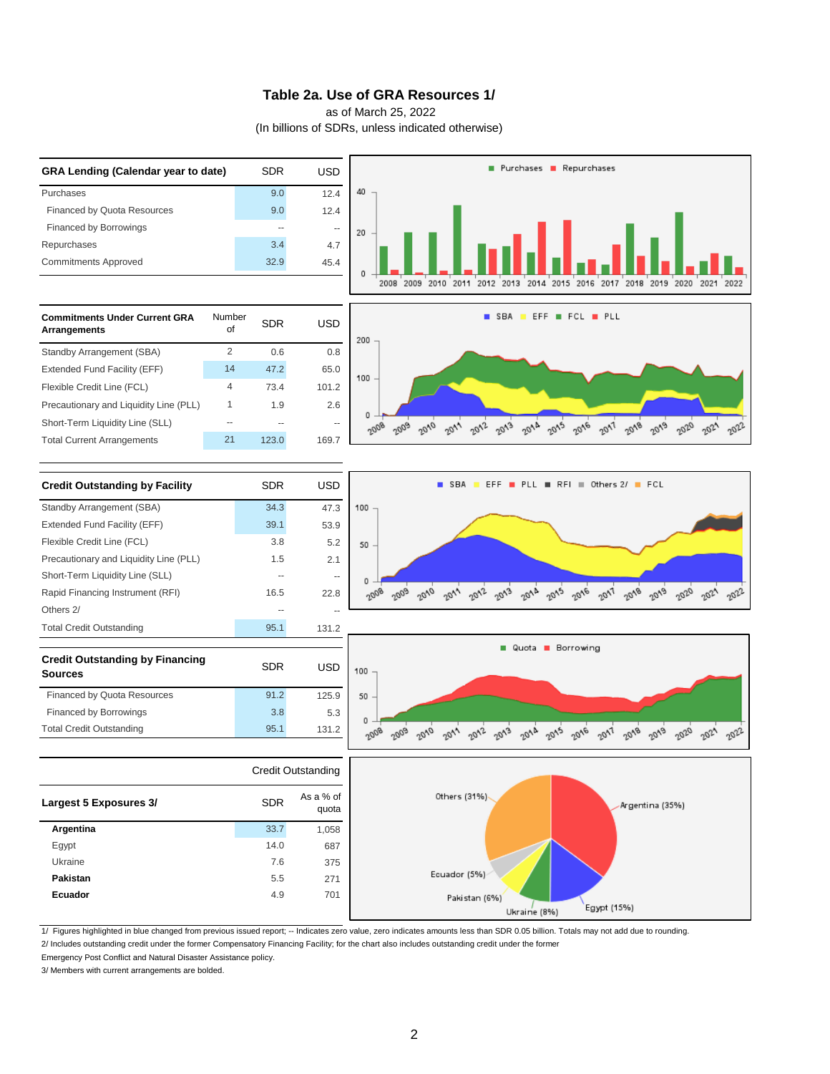#### **Table 2a. Use of GRA Resources 1/**

as of March 25, 2022

(In billions of SDRs, unless indicated otherwise)



2/ Includes outstanding credit under the former Compensatory Financing Facility; for the chart also includes outstanding credit under the former 1/ Figures highlighted in blue changed from previous issued report; -- Indicates zero value, zero indicates amounts less than SDR 0.05 billion. Totals may not add due to rounding.

Emergency Post Conflict and Natural Disaster Assistance policy.

3/ Members with current arrangements are bolded.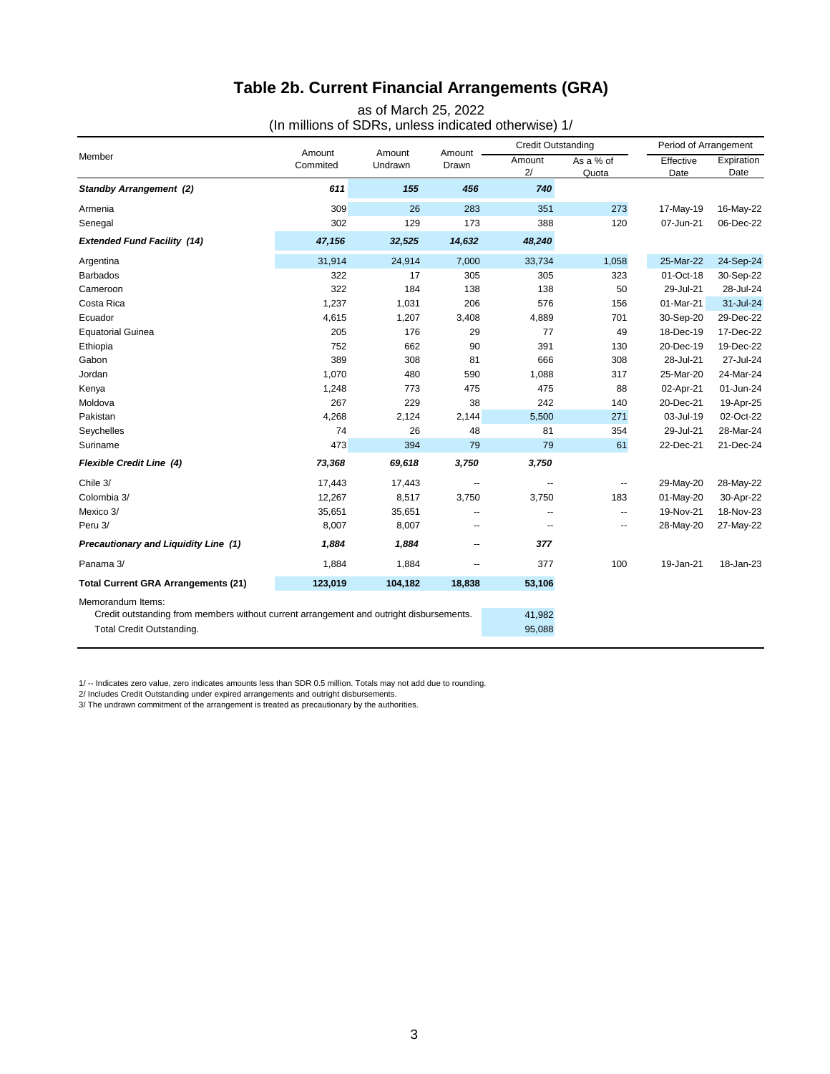# **Table 2b. Current Financial Arrangements (GRA)**

as of March 25, 2022

(In millions of SDRs, unless indicated otherwise) 1/

|                                                                                                                                           |                    |                   |                 | <b>Credit Outstanding</b> |                    | Period of Arrangement |                    |
|-------------------------------------------------------------------------------------------------------------------------------------------|--------------------|-------------------|-----------------|---------------------------|--------------------|-----------------------|--------------------|
| Member                                                                                                                                    | Amount<br>Commited | Amount<br>Undrawn | Amount<br>Drawn | Amount<br>2/              | As a % of<br>Quota | Effective<br>Date     | Expiration<br>Date |
| <b>Standby Arrangement (2)</b>                                                                                                            | 611                | 155               | 456             | 740                       |                    |                       |                    |
| Armenia                                                                                                                                   | 309                | 26                | 283             | 351                       | 273                | 17-May-19             | 16-May-22          |
| Senegal                                                                                                                                   | 302                | 129               | 173             | 388                       | 120                | 07-Jun-21             | 06-Dec-22          |
| <b>Extended Fund Facility (14)</b>                                                                                                        | 47,156             | 32,525            | 14,632          | 48,240                    |                    |                       |                    |
| Argentina                                                                                                                                 | 31,914             | 24,914            | 7,000           | 33,734                    | 1,058              | 25-Mar-22             | 24-Sep-24          |
| <b>Barbados</b>                                                                                                                           | 322                | 17                | 305             | 305                       | 323                | 01-Oct-18             | 30-Sep-22          |
| Cameroon                                                                                                                                  | 322                | 184               | 138             | 138                       | 50                 | 29-Jul-21             | 28-Jul-24          |
| Costa Rica                                                                                                                                | 1,237              | 1,031             | 206             | 576                       | 156                | 01-Mar-21             | 31-Jul-24          |
| Ecuador                                                                                                                                   | 4,615              | 1,207             | 3,408           | 4,889                     | 701                | 30-Sep-20             | 29-Dec-22          |
| <b>Equatorial Guinea</b>                                                                                                                  | 205                | 176               | 29              | 77                        | 49                 | 18-Dec-19             | 17-Dec-22          |
| Ethiopia                                                                                                                                  | 752                | 662               | 90              | 391                       | 130                | 20-Dec-19             | 19-Dec-22          |
| Gabon                                                                                                                                     | 389                | 308               | 81              | 666                       | 308                | 28-Jul-21             | 27-Jul-24          |
| Jordan                                                                                                                                    | 1,070              | 480               | 590             | 1,088                     | 317                | 25-Mar-20             | 24-Mar-24          |
| Kenya                                                                                                                                     | 1,248              | 773               | 475             | 475                       | 88                 | 02-Apr-21             | 01-Jun-24          |
| Moldova                                                                                                                                   | 267                | 229               | 38              | 242                       | 140                | 20-Dec-21             | 19-Apr-25          |
| Pakistan                                                                                                                                  | 4,268              | 2,124             | 2,144           | 5,500                     | 271                | 03-Jul-19             | 02-Oct-22          |
| Seychelles                                                                                                                                | 74                 | 26                | 48              | 81                        | 354                | 29-Jul-21             | 28-Mar-24          |
| Suriname                                                                                                                                  | 473                | 394               | 79              | 79                        | 61                 | 22-Dec-21             | 21-Dec-24          |
| Flexible Credit Line (4)                                                                                                                  | 73,368             | 69,618            | 3,750           | 3,750                     |                    |                       |                    |
| Chile 3/                                                                                                                                  | 17,443             | 17,443            | --              | --                        |                    | 29-May-20             | 28-May-22          |
| Colombia 3/                                                                                                                               | 12,267             | 8,517             | 3,750           | 3,750                     | 183                | 01-May-20             | 30-Apr-22          |
| Mexico 3/                                                                                                                                 | 35,651             | 35,651            | ۵.              | --                        | --                 | 19-Nov-21             | 18-Nov-23          |
| Peru 3/                                                                                                                                   | 8,007              | 8,007             | $\overline{a}$  | $\overline{a}$            | $\overline{a}$     | 28-May-20             | 27-May-22          |
| Precautionary and Liquidity Line (1)                                                                                                      | 1,884              | 1,884             | --              | 377                       |                    |                       |                    |
| Panama 3/                                                                                                                                 | 1,884              | 1,884             | --              | 377                       | 100                | 19-Jan-21             | 18-Jan-23          |
| <b>Total Current GRA Arrangements (21)</b>                                                                                                | 123,019            | 104,182           | 18,838          | 53,106                    |                    |                       |                    |
| Memorandum Items:<br>Credit outstanding from members without current arrangement and outright disbursements.<br>Total Credit Outstanding. |                    |                   |                 | 41,982<br>95,088          |                    |                       |                    |

1/ -- Indicates zero value, zero indicates amounts less than SDR 0.5 million. Totals may not add due to rounding.

2/ Includes Credit Outstanding under expired arrangements and outright disbursements. 3/ The undrawn commitment of the arrangement is treated as precautionary by the authorities.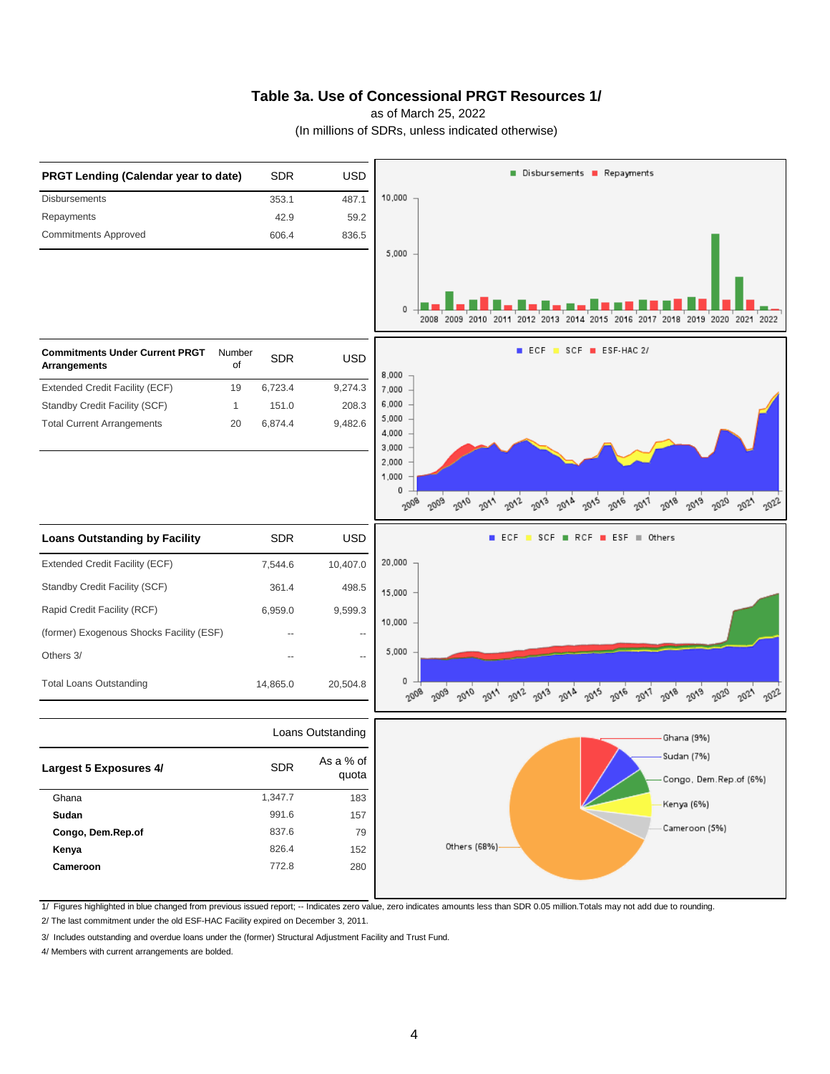#### **Table 3a. Use of Concessional PRGT Resources 1/**

as of March 25, 2022

(In millions of SDRs, unless indicated otherwise)



1/ Figures highlighted in blue changed from previous issued report; -- Indicates zero value, zero indicates amounts less than SDR 0.05 million.Totals may not add due to rounding.

2/ The last commitment under the old ESF-HAC Facility expired on December 3, 2011.

3/ Includes outstanding and overdue loans under the (former) Structural Adjustment Facility and Trust Fund.

4/ Members with current arrangements are bolded.